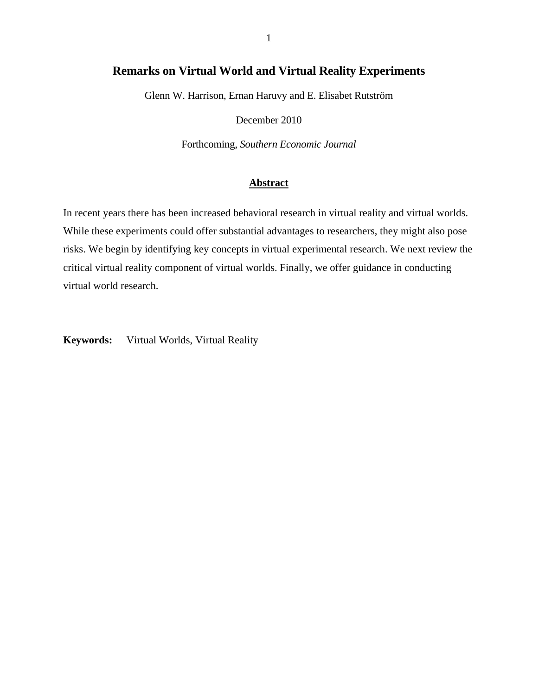# **Remarks on Virtual World and Virtual Reality Experiments**

Glenn W. Harrison, Ernan Haruvy and E. Elisabet Rutström

December 2010

Forthcoming, *Southern Economic Journal*

# **Abstract**

In recent years there has been increased behavioral research in virtual reality and virtual worlds. While these experiments could offer substantial advantages to researchers, they might also pose risks. We begin by identifying key concepts in virtual experimental research. We next review the critical virtual reality component of virtual worlds. Finally, we offer guidance in conducting virtual world research.

**Keywords:** Virtual Worlds, Virtual Reality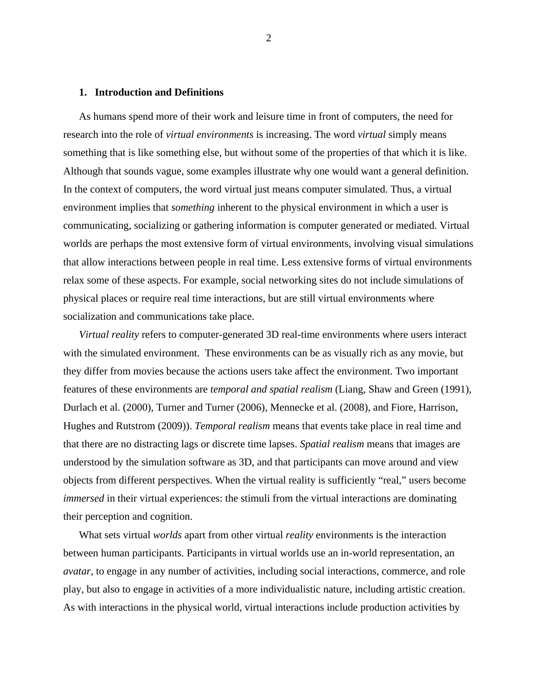#### **1. Introduction and Definitions**

As humans spend more of their work and leisure time in front of computers, the need for research into the role of *virtual environments* is increasing. The word *virtual* simply means something that is like something else, but without some of the properties of that which it is like. Although that sounds vague, some examples illustrate why one would want a general definition. In the context of computers, the word virtual just means computer simulated. Thus, a virtual environment implies that *something* inherent to the physical environment in which a user is communicating, socializing or gathering information is computer generated or mediated. Virtual worlds are perhaps the most extensive form of virtual environments, involving visual simulations that allow interactions between people in real time. Less extensive forms of virtual environments relax some of these aspects. For example, social networking sites do not include simulations of physical places or require real time interactions, but are still virtual environments where socialization and communications take place.

*Virtual reality* refers to computer-generated 3D real-time environments where users interact with the simulated environment. These environments can be as visually rich as any movie, but they differ from movies because the actions users take affect the environment. Two important features of these environments are *temporal and spatial realism* (Liang, Shaw and Green (1991), Durlach et al. (2000), Turner and Turner (2006), Mennecke et al. (2008), and Fiore, Harrison, Hughes and Rutstrom (2009)). *Temporal realism* means that events take place in real time and that there are no distracting lags or discrete time lapses. *Spatial realism* means that images are understood by the simulation software as 3D, and that participants can move around and view objects from different perspectives. When the virtual reality is sufficiently "real," users become *immersed* in their virtual experiences: the stimuli from the virtual interactions are dominating their perception and cognition.

What sets virtual *worlds* apart from other virtual *reality* environments is the interaction between human participants. Participants in virtual worlds use an in-world representation, an *avatar*, to engage in any number of activities, including social interactions, commerce, and role play, but also to engage in activities of a more individualistic nature, including artistic creation. As with interactions in the physical world, virtual interactions include production activities by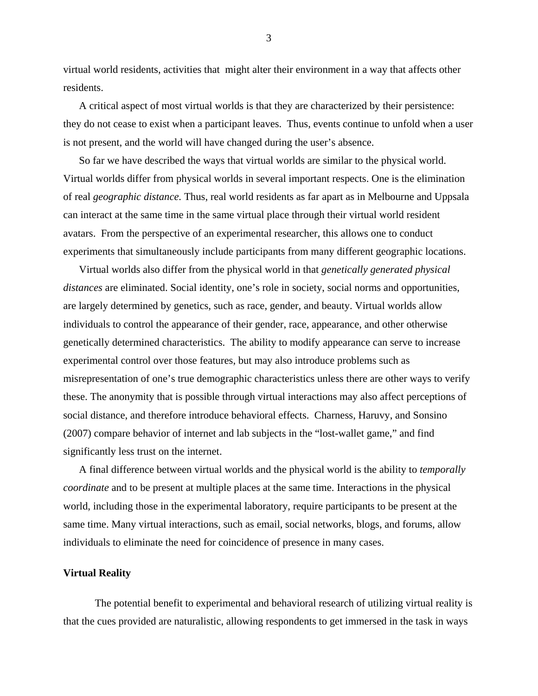virtual world residents, activities that might alter their environment in a way that affects other residents.

A critical aspect of most virtual worlds is that they are characterized by their persistence: they do not cease to exist when a participant leaves. Thus, events continue to unfold when a user is not present, and the world will have changed during the user's absence.

So far we have described the ways that virtual worlds are similar to the physical world. Virtual worlds differ from physical worlds in several important respects. One is the elimination of real *geographic distance.* Thus, real world residents as far apart as in Melbourne and Uppsala can interact at the same time in the same virtual place through their virtual world resident avatars. From the perspective of an experimental researcher, this allows one to conduct experiments that simultaneously include participants from many different geographic locations.

Virtual worlds also differ from the physical world in that *genetically generated physical distances* are eliminated. Social identity, one's role in society, social norms and opportunities, are largely determined by genetics, such as race, gender, and beauty. Virtual worlds allow individuals to control the appearance of their gender, race, appearance, and other otherwise genetically determined characteristics. The ability to modify appearance can serve to increase experimental control over those features, but may also introduce problems such as misrepresentation of one's true demographic characteristics unless there are other ways to verify these. The anonymity that is possible through virtual interactions may also affect perceptions of social distance, and therefore introduce behavioral effects. Charness, Haruvy, and Sonsino (2007) compare behavior of internet and lab subjects in the "lost-wallet game," and find significantly less trust on the internet.

A final difference between virtual worlds and the physical world is the ability to *temporally coordinate* and to be present at multiple places at the same time. Interactions in the physical world, including those in the experimental laboratory, require participants to be present at the same time. Many virtual interactions, such as email, social networks, blogs, and forums, allow individuals to eliminate the need for coincidence of presence in many cases.

#### **Virtual Reality**

The potential benefit to experimental and behavioral research of utilizing virtual reality is that the cues provided are naturalistic, allowing respondents to get immersed in the task in ways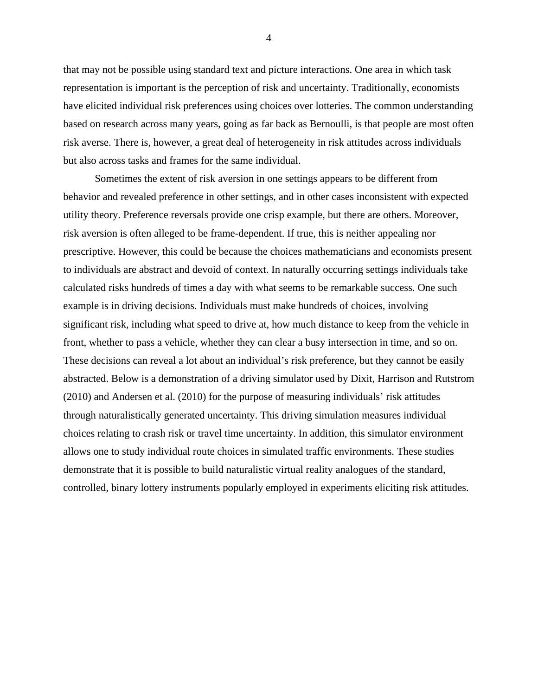that may not be possible using standard text and picture interactions. One area in which task representation is important is the perception of risk and uncertainty. Traditionally, economists have elicited individual risk preferences using choices over lotteries. The common understanding based on research across many years, going as far back as Bernoulli, is that people are most often risk averse. There is, however, a great deal of heterogeneity in risk attitudes across individuals but also across tasks and frames for the same individual.

Sometimes the extent of risk aversion in one settings appears to be different from behavior and revealed preference in other settings, and in other cases inconsistent with expected utility theory. Preference reversals provide one crisp example, but there are others. Moreover, risk aversion is often alleged to be frame-dependent. If true, this is neither appealing nor prescriptive. However, this could be because the choices mathematicians and economists present to individuals are abstract and devoid of context. In naturally occurring settings individuals take calculated risks hundreds of times a day with what seems to be remarkable success. One such example is in driving decisions. Individuals must make hundreds of choices, involving significant risk, including what speed to drive at, how much distance to keep from the vehicle in front, whether to pass a vehicle, whether they can clear a busy intersection in time, and so on. These decisions can reveal a lot about an individual's risk preference, but they cannot be easily abstracted. Below is a demonstration of a driving simulator used by Dixit, Harrison and Rutstrom (2010) and Andersen et al. (2010) for the purpose of measuring individuals' risk attitudes through naturalistically generated uncertainty. This driving simulation measures individual choices relating to crash risk or travel time uncertainty. In addition, this simulator environment allows one to study individual route choices in simulated traffic environments. These studies demonstrate that it is possible to build naturalistic virtual reality analogues of the standard, controlled, binary lottery instruments popularly employed in experiments eliciting risk attitudes.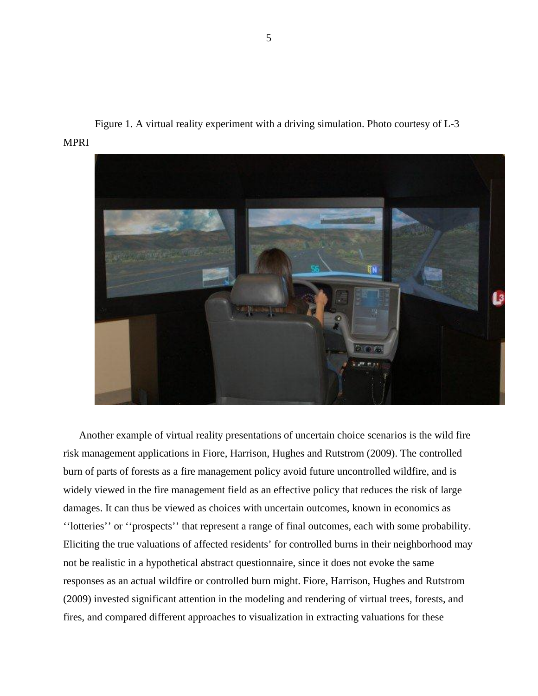



Another example of virtual reality presentations of uncertain choice scenarios is the wild fire risk management applications in Fiore, Harrison, Hughes and Rutstrom (2009). The controlled burn of parts of forests as a fire management policy avoid future uncontrolled wildfire, and is widely viewed in the fire management field as an effective policy that reduces the risk of large damages. It can thus be viewed as choices with uncertain outcomes, known in economics as ''lotteries'' or ''prospects'' that represent a range of final outcomes, each with some probability. Eliciting the true valuations of affected residents' for controlled burns in their neighborhood may not be realistic in a hypothetical abstract questionnaire, since it does not evoke the same responses as an actual wildfire or controlled burn might. Fiore, Harrison, Hughes and Rutstrom (2009) invested significant attention in the modeling and rendering of virtual trees, forests, and fires, and compared different approaches to visualization in extracting valuations for these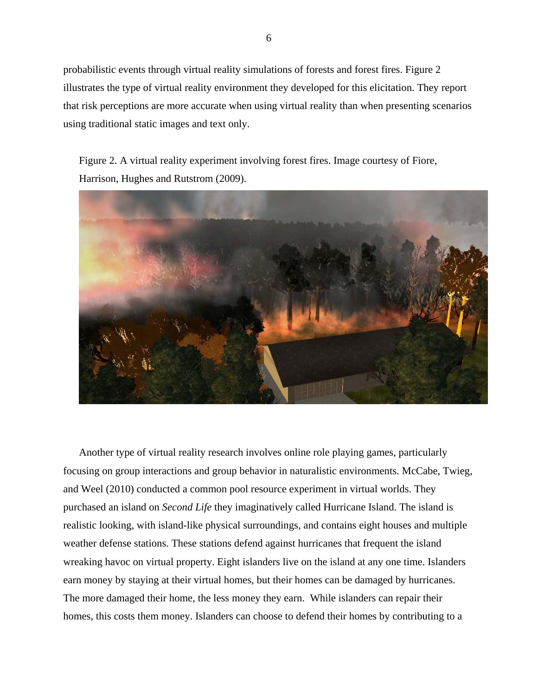probabilistic events through virtual reality simulations of forests and forest fires. Figure 2 illustrates the type of virtual reality environment they developed for this elicitation. They report that risk perceptions are more accurate when using virtual reality than when presenting scenarios using traditional static images and text only.

Figure 2. A virtual reality experiment involving forest fires. Image courtesy of Fiore, Harrison, Hughes and Rutstrom (2009).



Another type of virtual reality research involves online role playing games, particularly focusing on group interactions and group behavior in naturalistic environments. McCabe, Twieg, and Weel (2010) conducted a common pool resource experiment in virtual worlds. They purchased an island on *Second Life* they imaginatively called Hurricane Island. The island is realistic looking, with island-like physical surroundings, and contains eight houses and multiple weather defense stations. These stations defend against hurricanes that frequent the island wreaking havoc on virtual property. Eight islanders live on the island at any one time. Islanders earn money by staying at their virtual homes, but their homes can be damaged by hurricanes. The more damaged their home, the less money they earn. While islanders can repair their homes, this costs them money. Islanders can choose to defend their homes by contributing to a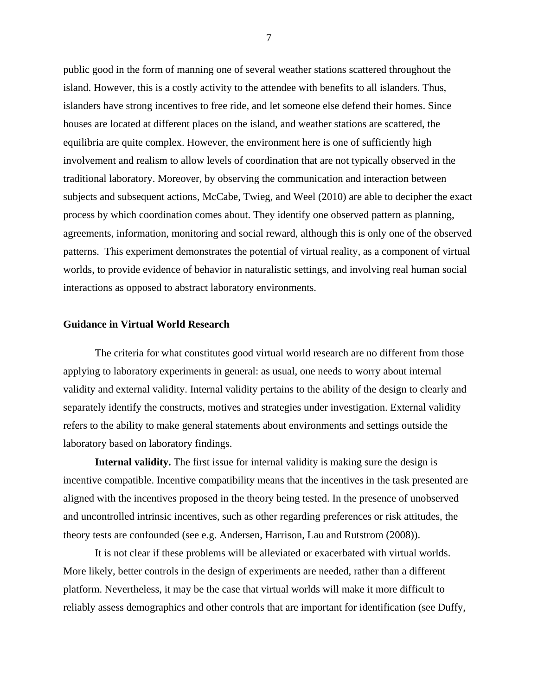public good in the form of manning one of several weather stations scattered throughout the island. However, this is a costly activity to the attendee with benefits to all islanders. Thus, islanders have strong incentives to free ride, and let someone else defend their homes. Since houses are located at different places on the island, and weather stations are scattered, the equilibria are quite complex. However, the environment here is one of sufficiently high involvement and realism to allow levels of coordination that are not typically observed in the traditional laboratory. Moreover, by observing the communication and interaction between subjects and subsequent actions, McCabe, Twieg, and Weel (2010) are able to decipher the exact process by which coordination comes about. They identify one observed pattern as planning, agreements, information, monitoring and social reward, although this is only one of the observed patterns. This experiment demonstrates the potential of virtual reality, as a component of virtual worlds, to provide evidence of behavior in naturalistic settings, and involving real human social interactions as opposed to abstract laboratory environments.

## **Guidance in Virtual World Research**

 The criteria for what constitutes good virtual world research are no different from those applying to laboratory experiments in general: as usual, one needs to worry about internal validity and external validity. Internal validity pertains to the ability of the design to clearly and separately identify the constructs, motives and strategies under investigation. External validity refers to the ability to make general statements about environments and settings outside the laboratory based on laboratory findings.

**Internal validity.** The first issue for internal validity is making sure the design is incentive compatible. Incentive compatibility means that the incentives in the task presented are aligned with the incentives proposed in the theory being tested. In the presence of unobserved and uncontrolled intrinsic incentives, such as other regarding preferences or risk attitudes, the theory tests are confounded (see e.g. Andersen, Harrison, Lau and Rutstrom (2008)).

It is not clear if these problems will be alleviated or exacerbated with virtual worlds. More likely, better controls in the design of experiments are needed, rather than a different platform. Nevertheless, it may be the case that virtual worlds will make it more difficult to reliably assess demographics and other controls that are important for identification (see Duffy,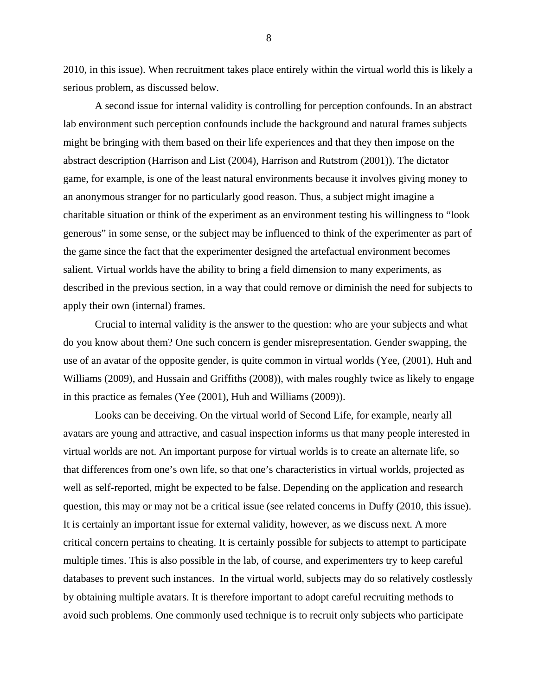2010, in this issue). When recruitment takes place entirely within the virtual world this is likely a serious problem, as discussed below.

A second issue for internal validity is controlling for perception confounds. In an abstract lab environment such perception confounds include the background and natural frames subjects might be bringing with them based on their life experiences and that they then impose on the abstract description (Harrison and List (2004), Harrison and Rutstrom (2001)). The dictator game, for example, is one of the least natural environments because it involves giving money to an anonymous stranger for no particularly good reason. Thus, a subject might imagine a charitable situation or think of the experiment as an environment testing his willingness to "look generous" in some sense, or the subject may be influenced to think of the experimenter as part of the game since the fact that the experimenter designed the artefactual environment becomes salient. Virtual worlds have the ability to bring a field dimension to many experiments, as described in the previous section, in a way that could remove or diminish the need for subjects to apply their own (internal) frames.

Crucial to internal validity is the answer to the question: who are your subjects and what do you know about them? One such concern is gender misrepresentation. Gender swapping, the use of an avatar of the opposite gender, is quite common in virtual worlds (Yee, (2001), Huh and Williams (2009), and Hussain and Griffiths (2008)), with males roughly twice as likely to engage in this practice as females (Yee (2001), Huh and Williams (2009)).

Looks can be deceiving. On the virtual world of Second Life, for example, nearly all avatars are young and attractive, and casual inspection informs us that many people interested in virtual worlds are not. An important purpose for virtual worlds is to create an alternate life, so that differences from one's own life, so that one's characteristics in virtual worlds, projected as well as self-reported, might be expected to be false. Depending on the application and research question, this may or may not be a critical issue (see related concerns in Duffy (2010, this issue). It is certainly an important issue for external validity, however, as we discuss next. A more critical concern pertains to cheating. It is certainly possible for subjects to attempt to participate multiple times. This is also possible in the lab, of course, and experimenters try to keep careful databases to prevent such instances. In the virtual world, subjects may do so relatively costlessly by obtaining multiple avatars. It is therefore important to adopt careful recruiting methods to avoid such problems. One commonly used technique is to recruit only subjects who participate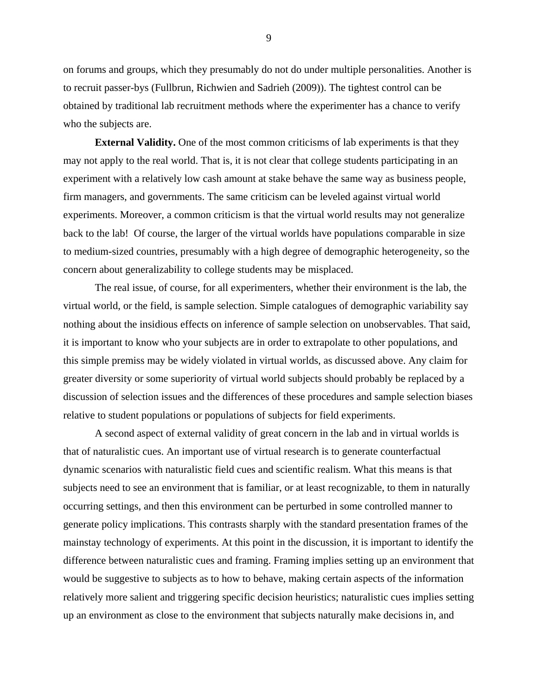on forums and groups, which they presumably do not do under multiple personalities. Another is to recruit passer-bys (Fullbrun, Richwien and Sadrieh (2009)). The tightest control can be obtained by traditional lab recruitment methods where the experimenter has a chance to verify who the subjects are.

**External Validity.** One of the most common criticisms of lab experiments is that they may not apply to the real world. That is, it is not clear that college students participating in an experiment with a relatively low cash amount at stake behave the same way as business people, firm managers, and governments. The same criticism can be leveled against virtual world experiments. Moreover, a common criticism is that the virtual world results may not generalize back to the lab! Of course, the larger of the virtual worlds have populations comparable in size to medium-sized countries, presumably with a high degree of demographic heterogeneity, so the concern about generalizability to college students may be misplaced.

The real issue, of course, for all experimenters, whether their environment is the lab, the virtual world, or the field, is sample selection. Simple catalogues of demographic variability say nothing about the insidious effects on inference of sample selection on unobservables. That said, it is important to know who your subjects are in order to extrapolate to other populations, and this simple premiss may be widely violated in virtual worlds, as discussed above. Any claim for greater diversity or some superiority of virtual world subjects should probably be replaced by a discussion of selection issues and the differences of these procedures and sample selection biases relative to student populations or populations of subjects for field experiments.

A second aspect of external validity of great concern in the lab and in virtual worlds is that of naturalistic cues. An important use of virtual research is to generate counterfactual dynamic scenarios with naturalistic field cues and scientific realism. What this means is that subjects need to see an environment that is familiar, or at least recognizable, to them in naturally occurring settings, and then this environment can be perturbed in some controlled manner to generate policy implications. This contrasts sharply with the standard presentation frames of the mainstay technology of experiments. At this point in the discussion, it is important to identify the difference between naturalistic cues and framing. Framing implies setting up an environment that would be suggestive to subjects as to how to behave, making certain aspects of the information relatively more salient and triggering specific decision heuristics; naturalistic cues implies setting up an environment as close to the environment that subjects naturally make decisions in, and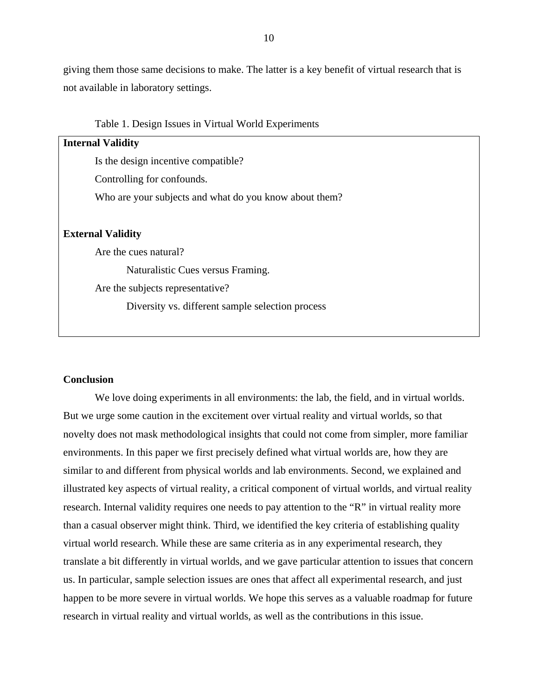giving them those same decisions to make. The latter is a key benefit of virtual research that is not available in laboratory settings.

Table 1. Design Issues in Virtual World Experiments

| <b>Internal Validity</b>                               |
|--------------------------------------------------------|
| Is the design incentive compatible?                    |
| Controlling for confounds.                             |
| Who are your subjects and what do you know about them? |
|                                                        |
| <b>External Validity</b>                               |
| Are the cues natural?                                  |
| Naturalistic Cues versus Framing.                      |
| Are the subjects representative?                       |
| Diversity vs. different sample selection process       |

# **Conclusion**

We love doing experiments in all environments: the lab, the field, and in virtual worlds. But we urge some caution in the excitement over virtual reality and virtual worlds, so that novelty does not mask methodological insights that could not come from simpler, more familiar environments. In this paper we first precisely defined what virtual worlds are, how they are similar to and different from physical worlds and lab environments. Second, we explained and illustrated key aspects of virtual reality, a critical component of virtual worlds, and virtual reality research. Internal validity requires one needs to pay attention to the "R" in virtual reality more than a casual observer might think. Third, we identified the key criteria of establishing quality virtual world research. While these are same criteria as in any experimental research, they translate a bit differently in virtual worlds, and we gave particular attention to issues that concern us. In particular, sample selection issues are ones that affect all experimental research, and just happen to be more severe in virtual worlds. We hope this serves as a valuable roadmap for future research in virtual reality and virtual worlds, as well as the contributions in this issue.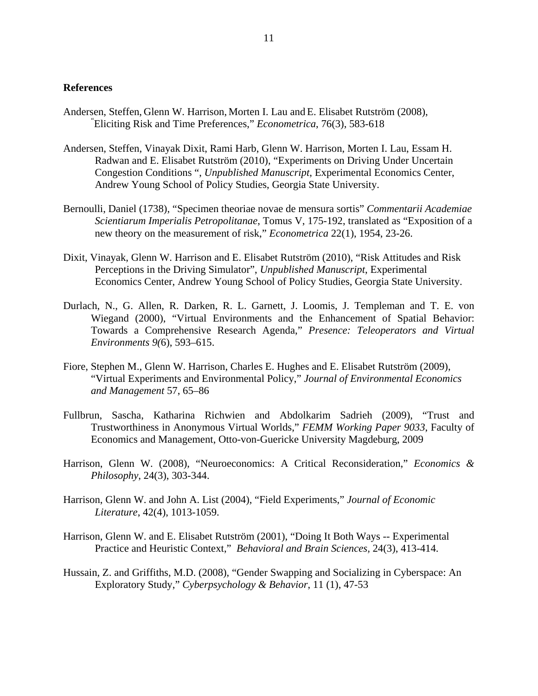# **References**

- Andersen, Steffen, Glenn W. Harrison, Morten I. Lau and E. Elisabet Rutström (2008), " Eliciting Risk and Time Preferences," *Econometrica*, 76(3), 583-618
- Andersen, Steffen, Vinayak Dixit, Rami Harb, Glenn W. Harrison, Morten I. Lau, Essam H. Radwan and E. Elisabet Rutström (2010), "Experiments on Driving Under Uncertain Congestion Conditions ", *Unpublished Manuscript*, Experimental Economics Center, Andrew Young School of Policy Studies, Georgia State University.
- Bernoulli, Daniel (1738), "Specimen theoriae novae de mensura sortis" *Commentarii Academiae Scientiarum Imperialis Petropolitanae*, Tomus V, 175-192, translated as "Exposition of a new theory on the measurement of risk," *Econometrica* 22(1), 1954, 23-26.
- Dixit, Vinayak, Glenn W. Harrison and E. Elisabet Rutström (2010), "Risk Attitudes and Risk Perceptions in the Driving Simulator", *Unpublished Manuscript*, Experimental Economics Center, Andrew Young School of Policy Studies, Georgia State University.
- Durlach, N., G. Allen, R. Darken, R. L. Garnett, J. Loomis, J. Templeman and T. E. von Wiegand (2000), "Virtual Environments and the Enhancement of Spatial Behavior: Towards a Comprehensive Research Agenda," *Presence: Teleoperators and Virtual Environments 9(*6), 593–615.
- Fiore, Stephen M., Glenn W. Harrison, Charles E. Hughes and E. Elisabet Rutström (2009), "Virtual Experiments and Environmental Policy," *Journal of Environmental Economics and Management* 57, 65–86
- Fullbrun, Sascha, Katharina Richwien and Abdolkarim Sadrieh (2009), "Trust and Trustworthiness in Anonymous Virtual Worlds," *FEMM Working Paper 9033*, Faculty of Economics and Management, Otto-von-Guericke University Magdeburg, 2009
- Harrison, Glenn W. (2008), "Neuroeconomics: A Critical Reconsideration," *Economics & Philosophy*, 24(3), 303-344.
- Harrison, Glenn W. and John A. List (2004), "Field Experiments," *Journal of Economic Literature*, 42(4), 1013-1059.
- Harrison, Glenn W. and E. Elisabet Rutström (2001), "Doing It Both Ways -- Experimental Practice and Heuristic Context," *Behavioral and Brain Sciences,* 24(3), 413-414.
- Hussain, Z. and Griffiths, M.D. (2008), "Gender Swapping and Socializing in Cyberspace: An Exploratory Study," *Cyberpsychology & Behavior*, 11 (1), 47-53